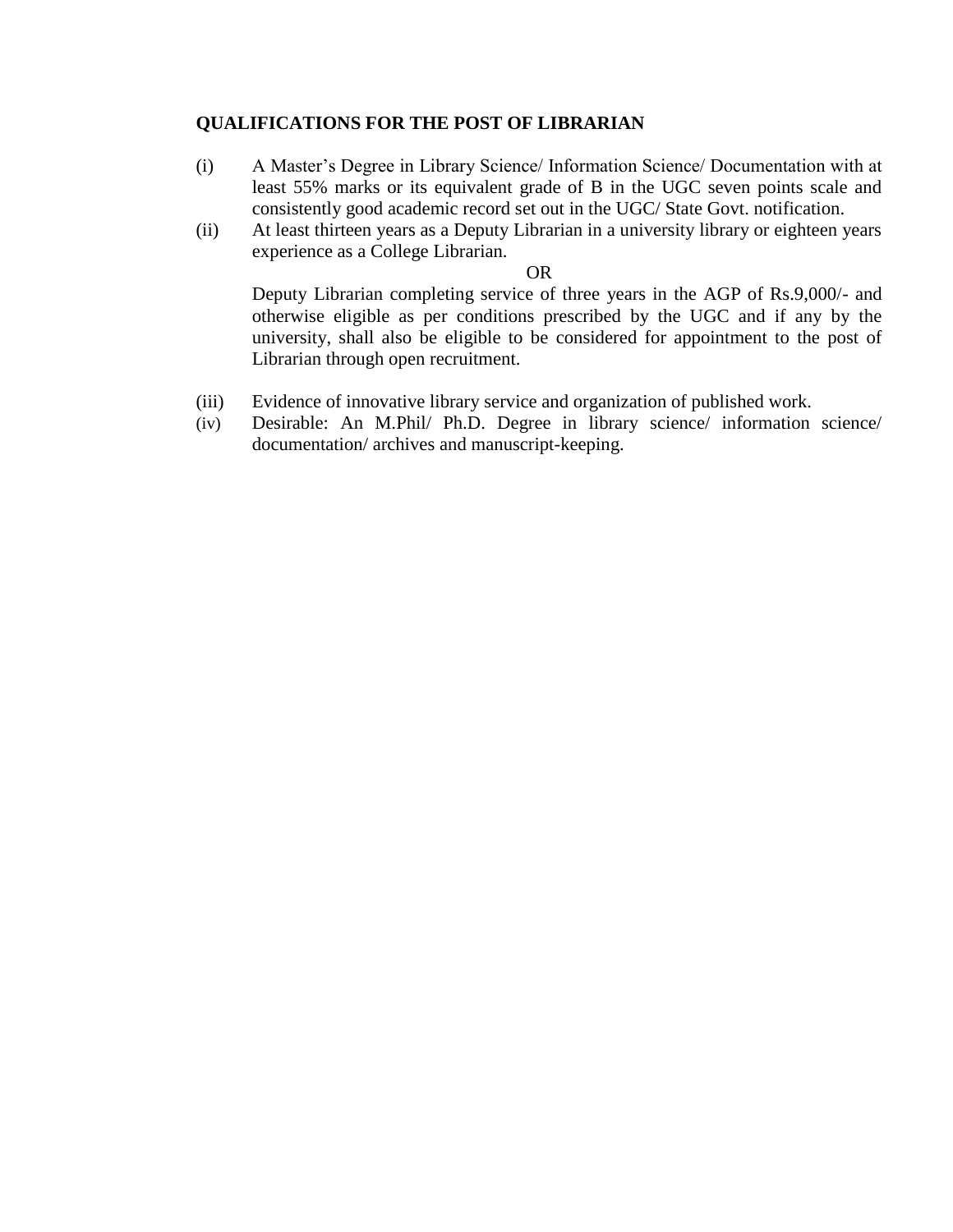## **QUALIFICATIONS FOR THE POST OF LIBRARIAN**

- (i) A Master's Degree in Library Science/ Information Science/ Documentation with at least 55% marks or its equivalent grade of B in the UGC seven points scale and consistently good academic record set out in the UGC/ State Govt. notification.
- (ii) At least thirteen years as a Deputy Librarian in a university library or eighteen years experience as a College Librarian.

OR

Deputy Librarian completing service of three years in the AGP of Rs.9,000/- and otherwise eligible as per conditions prescribed by the UGC and if any by the university, shall also be eligible to be considered for appointment to the post of Librarian through open recruitment.

- (iii) Evidence of innovative library service and organization of published work.
- (iv) Desirable: An M.Phil/ Ph.D. Degree in library science/ information science/ documentation/ archives and manuscript-keeping.